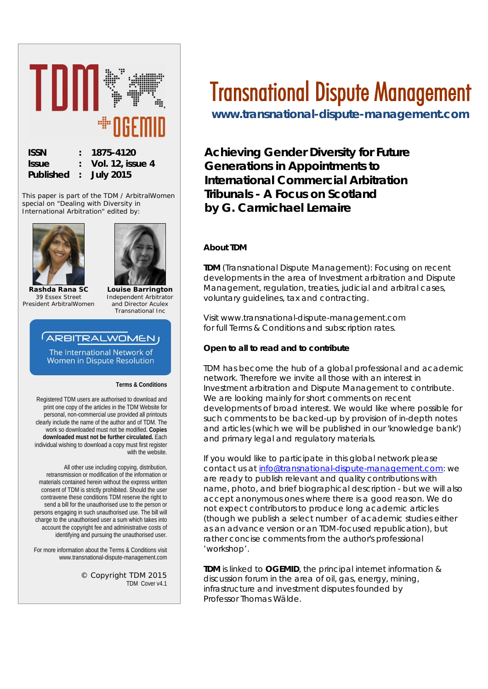

This paper is part of the TDM / ArbitralWomen special on "*Dealing with Diversity in International Arbitration*" edited by:





**Rashda Rana SC** *39 Essex Street President ArbitralWomen*

**Louise Barrington** *Independent Arbitrator and Director Aculex Transnational Inc*

# **ARBITRALWOMENJ**

The International Network of Women in Dispute Resolution

**Terms & Conditions**

Registered TDM users are authorised to download and print one copy of the articles in the TDM Website for personal, non-commercial use provided all printouts clearly include the name of the author and of TDM. The work so downloaded must not be modified. **Copies downloaded must not be further circulated.** Each individual wishing to download a copy must first register with the website.

All other use including copying, distribution, retransmission or modification of the information or materials contained herein without the express written consent of TDM is strictly prohibited. Should the user contravene these conditions TDM reserve the right to send a bill for the unauthorised use to the person or persons engaging in such unauthorised use. The bill will charge to the unauthorised user a sum which takes into account the copyright fee and administrative costs of identifying and pursuing the unauthorised user.

For more information about the Terms & Conditions visit www.transnational-dispute-management.com

> © Copyright TDM 2015 TDM Cover v4.1

# Transnational Dispute Management

**[www.transnational-dispute-management.com](http://www.transnational-dispute-management.com/)** 

**Achieving Gender Diversity for Future Generations in Appointments to International Commercial Arbitration Tribunals - A Focus on Scotland by G. Carmichael Lemaire**

# **About TDM**

**TDM** (Transnational Dispute Management): Focusing on recent developments in the area of Investment arbitration and Dispute Management, regulation, treaties, judicial and arbitral cases, voluntary guidelines, tax and contracting.

Visit www.transnational-dispute-management.com for full Terms & Conditions and subscription rates.

# **Open to all to read and to contribute**

TDM has become the hub of a global professional and academic network. Therefore we invite all those with an interest in Investment arbitration and Dispute Management to contribute. We are looking mainly for short comments on recent developments of broad interest. We would like where possible for such comments to be backed-up by provision of in-depth notes and articles (which we will be published in our 'knowledge bank') and primary legal and regulatory materials.

If you would like to participate in this global network please contact us at [info@transnational-dispute-management.com:](mailto:info@transnational-dispute-management.com) we are ready to publish relevant and quality contributions with name, photo, and brief biographical description - but we will also accept anonymous ones where there is a good reason. We do not expect contributors to produce long academic articles (though we publish a select number of academic studies either as an advance version or an TDM-focused republication), but rather concise comments from the author's professional 'workshop'.

**TDM** is linked to **OGEMID**, the principal internet information & discussion forum in the area of oil, gas, energy, mining, infrastructure and investment disputes founded by Professor Thomas Wälde.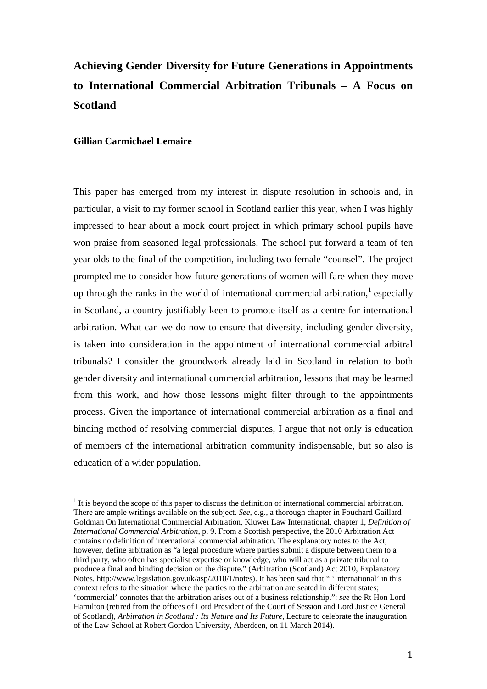# **Achieving Gender Diversity for Future Generations in Appointments to International Commercial Arbitration Tribunals – A Focus on Scotland**

# **Gillian Carmichael Lemaire**

 

This paper has emerged from my interest in dispute resolution in schools and, in particular, a visit to my former school in Scotland earlier this year, when I was highly impressed to hear about a mock court project in which primary school pupils have won praise from seasoned legal professionals. The school put forward a team of ten year olds to the final of the competition, including two female "counsel". The project prompted me to consider how future generations of women will fare when they move up through the ranks in the world of international commercial arbitration, especially in Scotland, a country justifiably keen to promote itself as a centre for international arbitration. What can we do now to ensure that diversity, including gender diversity, is taken into consideration in the appointment of international commercial arbitral tribunals? I consider the groundwork already laid in Scotland in relation to both gender diversity and international commercial arbitration, lessons that may be learned from this work, and how those lessons might filter through to the appointments process. Given the importance of international commercial arbitration as a final and binding method of resolving commercial disputes, I argue that not only is education of members of the international arbitration community indispensable, but so also is education of a wider population.

 $<sup>1</sup>$  It is beyond the scope of this paper to discuss the definition of international commercial arbitration.</sup> There are ample writings available on the subject. *See*, e.g., a thorough chapter in Fouchard Gaillard Goldman On International Commercial Arbitration, Kluwer Law International, chapter 1, *Definition of International Commercial Arbitration*, p. 9. From a Scottish perspective, the 2010 Arbitration Act contains no definition of international commercial arbitration. The explanatory notes to the Act, however, define arbitration as "a legal procedure where parties submit a dispute between them to a third party, who often has specialist expertise or knowledge, who will act as a private tribunal to produce a final and binding decision on the dispute." (Arbitration (Scotland) Act 2010, Explanatory Notes, http://www.legislation.gov.uk/asp/2010/1/notes). It has been said that " 'International' in this context refers to the situation where the parties to the arbitration are seated in different states; 'commercial' connotes that the arbitration arises out of a business relationship.": *see* the Rt Hon Lord Hamilton (retired from the offices of Lord President of the Court of Session and Lord Justice General of Scotland), *Arbitration in Scotland : Its Nature and Its Future,* Lecture to celebrate the inauguration of the Law School at Robert Gordon University, Aberdeen, on 11 March 2014).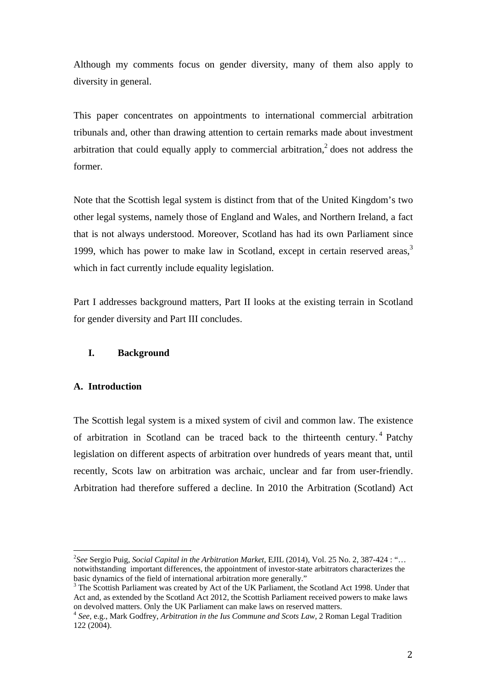Although my comments focus on gender diversity, many of them also apply to diversity in general.

This paper concentrates on appointments to international commercial arbitration tribunals and, other than drawing attention to certain remarks made about investment arbitration that could equally apply to commercial arbitration, $\alpha$ <sup>2</sup> does not address the former.

Note that the Scottish legal system is distinct from that of the United Kingdom's two other legal systems, namely those of England and Wales, and Northern Ireland, a fact that is not always understood. Moreover, Scotland has had its own Parliament since 1999, which has power to make law in Scotland, except in certain reserved areas, $3\overline{3}$ which in fact currently include equality legislation.

Part I addresses background matters, Part II looks at the existing terrain in Scotland for gender diversity and Part III concludes.

# **I. Background**

 

# **A. Introduction**

The Scottish legal system is a mixed system of civil and common law. The existence of arbitration in Scotland can be traced back to the thirteenth century.<sup>4</sup> Patchy legislation on different aspects of arbitration over hundreds of years meant that, until recently, Scots law on arbitration was archaic, unclear and far from user-friendly. Arbitration had therefore suffered a decline. In 2010 the Arbitration (Scotland) Act

<sup>2</sup> *See* Sergio Puig, *Social Capital in the Arbitration Market*, EJIL (2014), Vol. 25 No. 2, 387-424 : "… notwithstanding important differences, the appointment of investor-state arbitrators characterizes the basic dynamics of the field of international arbitration more generally."

<sup>&</sup>lt;sup>3</sup> The Scottish Parliament was created by Act of the UK Parliament, the Scotland Act 1998. Under that Act and, as extended by the Scotland Act 2012, the Scottish Parliament received powers to make laws on devolved matters. Only the UK Parliament can make laws on reserved matters. 4 *See*, e.g., Mark Godfrey, *Arbitration in the Ius Commune and Scots Law*, 2 Roman Legal Tradition

<sup>122 (2004).</sup>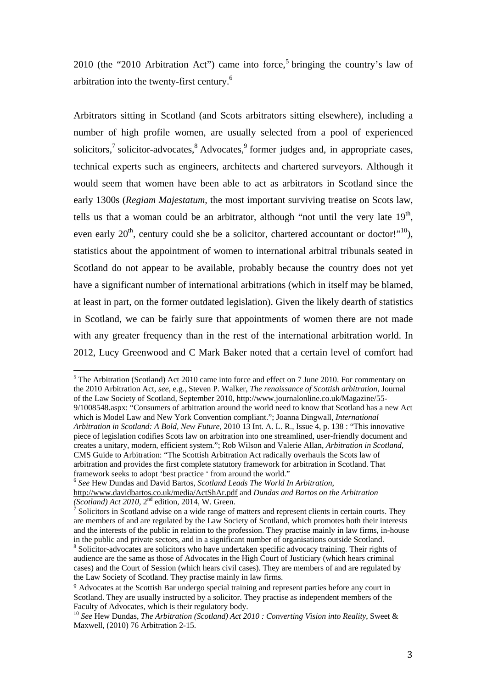2010 (the "2010 Arbitration Act") came into force,<sup>5</sup> bringing the country's law of arbitration into the twenty-first century.6

Arbitrators sitting in Scotland (and Scots arbitrators sitting elsewhere), including a number of high profile women, are usually selected from a pool of experienced solicitors,<sup>7</sup> solicitor-advocates,<sup>8</sup> Advocates,<sup>9</sup> former judges and, in appropriate cases, technical experts such as engineers, architects and chartered surveyors. Although it would seem that women have been able to act as arbitrators in Scotland since the early 1300s (*Regiam Majestatum,* the most important surviving treatise on Scots law, tells us that a woman could be an arbitrator, although "not until the very late  $19<sup>th</sup>$ , even early  $20^{th}$ , century could she be a solicitor, chartered accountant or doctor!"<sup>10</sup>), statistics about the appointment of women to international arbitral tribunals seated in Scotland do not appear to be available, probably because the country does not yet have a significant number of international arbitrations (which in itself may be blamed, at least in part, on the former outdated legislation). Given the likely dearth of statistics in Scotland, we can be fairly sure that appointments of women there are not made with any greater frequency than in the rest of the international arbitration world. In 2012, Lucy Greenwood and C Mark Baker noted that a certain level of comfort had

<sup>5</sup> The Arbitration (Scotland) Act 2010 came into force and effect on 7 June 2010. For commentary on the 2010 Arbitration Act, *see*, e.g., Steven P. Walker, *The renaissance of Scottish arbitration*, Journal of the Law Society of Scotland, September 2010, http://www.journalonline.co.uk/Magazine/55- 9/1008548.aspx: "Consumers of arbitration around the world need to know that Scotland has a new Act

which is Model Law and New York Convention compliant."; Joanna Dingwall, *International Arbitration in Scotland: A Bold, New Future*, 2010 13 Int. A. L. R., Issue 4, p. 138 : "This innovative piece of legislation codifies Scots law on arbitration into one streamlined, user-friendly document and creates a unitary, modern, efficient system."; Rob Wilson and Valerie Allan, *Arbitration in Scotland*, CMS Guide to Arbitration: "The Scottish Arbitration Act radically overhauls the Scots law of arbitration and provides the first complete statutory framework for arbitration in Scotland. That framework seeks to adopt 'best practice ' from around the world."

<sup>6</sup> *See* Hew Dundas and David Bartos, *Scotland Leads The World In Arbitration*,

http://www.davidbartos.co.uk/media/ActShAr.pdf and *Dundas and Bartos on the Arbitration*   $(Scotland)$  *Act 2010*,  $2<sup>nd</sup>$  edition, 2014, W. Green.

Solicitors in Scotland advise on a wide range of matters and represent clients in certain courts. They are members of and are regulated by the Law Society of Scotland, which promotes both their interests and the interests of the public in relation to the profession. They practise mainly in law firms, in-house in the public and private sectors, and in a significant number of organisations outside Scotland.

<sup>&</sup>lt;sup>8</sup> Solicitor-advocates are solicitors who have undertaken specific advocacy training. Their rights of audience are the same as those of Advocates in the High Court of Justiciary (which hears criminal cases) and the Court of Session (which hears civil cases). They are members of and are regulated by the Law Society of Scotland. They practise mainly in law firms.

<sup>9</sup> Advocates at the Scottish Bar undergo special training and represent parties before any court in Scotland. They are usually instructed by a solicitor. They practise as independent members of the Faculty of Advocates, which is their regulatory body.

<sup>&</sup>lt;sup>10</sup> See Hew Dundas, *The Arbitration (Scotland) Act 2010 : Converting Vision into Reality*, Sweet & Maxwell, (2010) 76 Arbitration 2-15.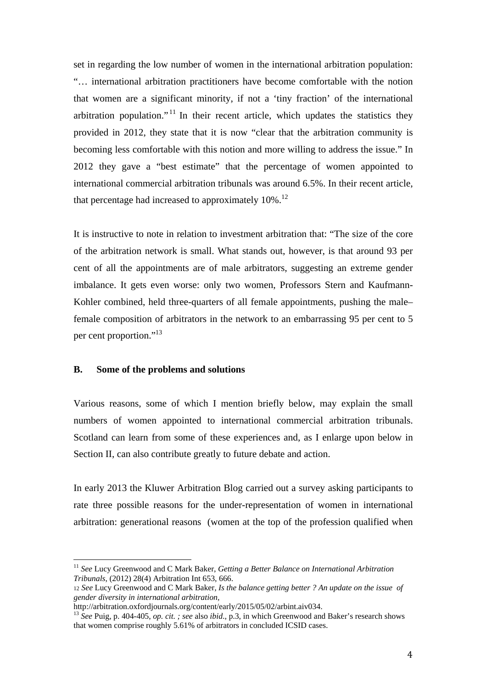set in regarding the low number of women in the international arbitration population: "… international arbitration practitioners have become comfortable with the notion that women are a significant minority, if not a 'tiny fraction' of the international arbitration population."<sup>11</sup> In their recent article, which updates the statistics they provided in 2012, they state that it is now "clear that the arbitration community is becoming less comfortable with this notion and more willing to address the issue." In 2012 they gave a "best estimate" that the percentage of women appointed to international commercial arbitration tribunals was around 6.5%. In their recent article, that percentage had increased to approximately 10%.<sup>12</sup>

It is instructive to note in relation to investment arbitration that: "The size of the core of the arbitration network is small. What stands out, however, is that around 93 per cent of all the appointments are of male arbitrators, suggesting an extreme gender imbalance. It gets even worse: only two women, Professors Stern and Kaufmann-Kohler combined, held three-quarters of all female appointments, pushing the male– female composition of arbitrators in the network to an embarrassing 95 per cent to 5 per cent proportion."<sup>13</sup>

#### **B. Some of the problems and solutions**

 

Various reasons, some of which I mention briefly below, may explain the small numbers of women appointed to international commercial arbitration tribunals. Scotland can learn from some of these experiences and, as I enlarge upon below in Section II, can also contribute greatly to future debate and action.

In early 2013 the Kluwer Arbitration Blog carried out a survey asking participants to rate three possible reasons for the under-representation of women in international arbitration: generational reasons (women at the top of the profession qualified when

<sup>11</sup> *See* Lucy Greenwood and C Mark Baker, *Getting a Better Balance on International Arbitration Tribunals*, (2012) 28(4) Arbitration Int 653, 666.

<sup>12</sup> *See* Lucy Greenwood and C Mark Baker*, Is the balance getting better ? An update on the issue of gender diversity in international arbitration,*

http://arbitration.oxfordjournals.org/content/early/2015/05/02/arbint.aiv034.

<sup>13</sup> *See* Puig, p. 404-405, *op. cit. ; see* also *ibid*., p.3, in which Greenwood and Baker's research shows that women comprise roughly 5.61% of arbitrators in concluded ICSID cases.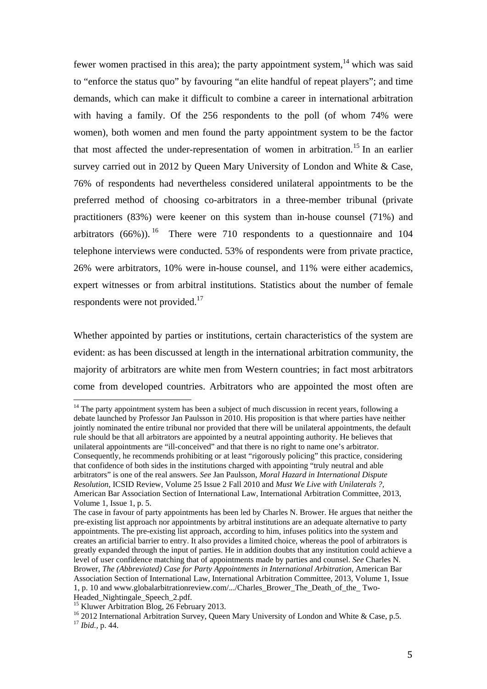fewer women practised in this area); the party appointment system, $14$  which was said to "enforce the status quo" by favouring "an elite handful of repeat players"; and time demands, which can make it difficult to combine a career in international arbitration with having a family. Of the 256 respondents to the poll (of whom 74% were women), both women and men found the party appointment system to be the factor that most affected the under-representation of women in arbitration.<sup>15</sup> In an earlier survey carried out in 2012 by Queen Mary University of London and White & Case, 76% of respondents had nevertheless considered unilateral appointments to be the preferred method of choosing co-arbitrators in a three-member tribunal (private practitioners (83%) were keener on this system than in-house counsel (71%) and arbitrators  $(66\%)$ . <sup>16</sup> There were 710 respondents to a questionnaire and 104 telephone interviews were conducted. 53% of respondents were from private practice, 26% were arbitrators, 10% were in-house counsel, and 11% were either academics, expert witnesses or from arbitral institutions. Statistics about the number of female respondents were not provided.<sup>17</sup>

Whether appointed by parties or institutions, certain characteristics of the system are evident: as has been discussed at length in the international arbitration community, the majority of arbitrators are white men from Western countries; in fact most arbitrators come from developed countries. Arbitrators who are appointed the most often are

 $14$  The party appointment system has been a subject of much discussion in recent years, following a debate launched by Professor Jan Paulsson in 2010. His proposition is that where parties have neither jointly nominated the entire tribunal nor provided that there will be unilateral appointments, the default rule should be that all arbitrators are appointed by a neutral appointing authority. He believes that unilateral appointments are "ill-conceived" and that there is no right to name one's arbitrator. Consequently, he recommends prohibiting or at least "rigorously policing" this practice, considering that confidence of both sides in the institutions charged with appointing "truly neutral and able arbitrators" is one of the real answers. *See* Jan Paulsson, *Moral Hazard in International Dispute Resolution*, ICSID Review, Volume 25 Issue 2 Fall 2010 and *Must We Live with Unilaterals ?,* American Bar Association Section of International Law, International Arbitration Committee, 2013, Volume 1, Issue 1, p. 5.

The case in favour of party appointments has been led by Charles N. Brower. He argues that neither the pre-existing list approach nor appointments by arbitral institutions are an adequate alternative to party appointments. The pre-existing list approach, according to him, infuses politics into the system and creates an artificial barrier to entry. It also provides a limited choice, whereas the pool of arbitrators is greatly expanded through the input of parties. He in addition doubts that any institution could achieve a level of user confidence matching that of appointments made by parties and counsel. *See* Charles N. Brower, *The (Abbreviated) Case for Party Appointments in International Arbitration,* American Bar Association Section of International Law, International Arbitration Committee, 2013, Volume 1, Issue 1, p. 10 and www.globalarbitrationreview.com/.../Charles\_Brower\_The\_Death\_of\_the\_ Two-Headed Nightingale Speech 2.pdf.

<sup>&</sup>lt;sup>15</sup> Kluwer Arbitration Blog, 26 February 2013.

<sup>16 2012</sup> International Arbitration Survey, Queen Mary University of London and White & Case, p.5. 17 *Ibid.,* p. 44.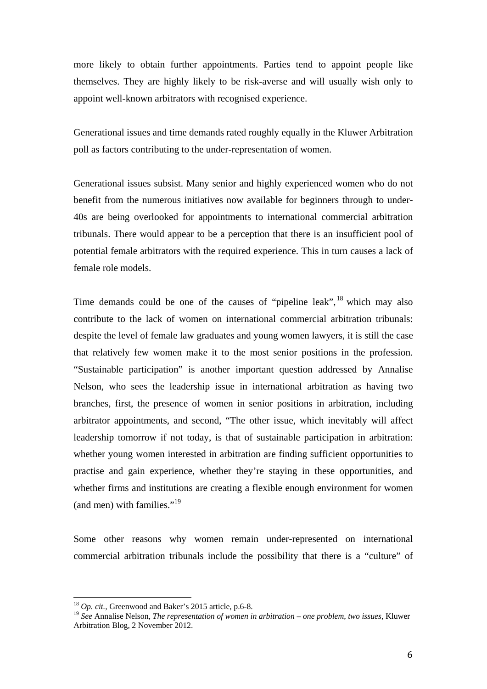more likely to obtain further appointments. Parties tend to appoint people like themselves. They are highly likely to be risk-averse and will usually wish only to appoint well-known arbitrators with recognised experience.

Generational issues and time demands rated roughly equally in the Kluwer Arbitration poll as factors contributing to the under-representation of women.

Generational issues subsist. Many senior and highly experienced women who do not benefit from the numerous initiatives now available for beginners through to under-40s are being overlooked for appointments to international commercial arbitration tribunals. There would appear to be a perception that there is an insufficient pool of potential female arbitrators with the required experience. This in turn causes a lack of female role models.

Time demands could be one of the causes of "pipeline leak",  $18$  which may also contribute to the lack of women on international commercial arbitration tribunals: despite the level of female law graduates and young women lawyers, it is still the case that relatively few women make it to the most senior positions in the profession. "Sustainable participation" is another important question addressed by Annalise Nelson, who sees the leadership issue in international arbitration as having two branches, first, the presence of women in senior positions in arbitration, including arbitrator appointments, and second, "The other issue, which inevitably will affect leadership tomorrow if not today, is that of sustainable participation in arbitration: whether young women interested in arbitration are finding sufficient opportunities to practise and gain experience, whether they're staying in these opportunities, and whether firms and institutions are creating a flexible enough environment for women (and men) with families."<sup>19</sup>

Some other reasons why women remain under-represented on international commercial arbitration tribunals include the possibility that there is a "culture" of

<sup>18</sup> *Op. cit.,* Greenwood and Baker's 2015 article, p.6-8.

<sup>19</sup> *See* Annalise Nelson, *The representation of women in arbitration – one problem, two issues*, Kluwer Arbitration Blog, 2 November 2012.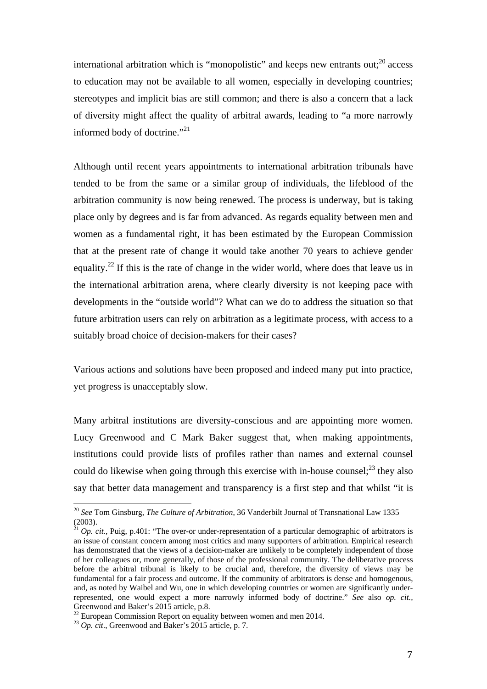international arbitration which is "monopolistic" and keeps new entrants out; $^{20}$  access to education may not be available to all women, especially in developing countries; stereotypes and implicit bias are still common; and there is also a concern that a lack of diversity might affect the quality of arbitral awards, leading to "a more narrowly informed body of doctrine."<sup>21</sup>

Although until recent years appointments to international arbitration tribunals have tended to be from the same or a similar group of individuals, the lifeblood of the arbitration community is now being renewed. The process is underway, but is taking place only by degrees and is far from advanced. As regards equality between men and women as a fundamental right, it has been estimated by the European Commission that at the present rate of change it would take another 70 years to achieve gender equality.<sup>22</sup> If this is the rate of change in the wider world, where does that leave us in the international arbitration arena, where clearly diversity is not keeping pace with developments in the "outside world"? What can we do to address the situation so that future arbitration users can rely on arbitration as a legitimate process, with access to a suitably broad choice of decision-makers for their cases?

Various actions and solutions have been proposed and indeed many put into practice, yet progress is unacceptably slow.

Many arbitral institutions are diversity-conscious and are appointing more women. Lucy Greenwood and C Mark Baker suggest that, when making appointments, institutions could provide lists of profiles rather than names and external counsel could do likewise when going through this exercise with in-house counsel:  $23$  they also say that better data management and transparency is a first step and that whilst "it is

<sup>20</sup> *See* Tom Ginsburg, *The Culture of Arbitration*, 36 Vanderbilt Journal of Transnational Law 1335  $(2003)$ .

<sup>21</sup> *Op. cit.,* Puig, p.401: "The over-or under-representation of a particular demographic of arbitrators is an issue of constant concern among most critics and many supporters of arbitration. Empirical research has demonstrated that the views of a decision-maker are unlikely to be completely independent of those of her colleagues or, more generally, of those of the professional community. The deliberative process before the arbitral tribunal is likely to be crucial and, therefore, the diversity of views may be fundamental for a fair process and outcome. If the community of arbitrators is dense and homogenous, and, as noted by Waibel and Wu, one in which developing countries or women are significantly underrepresented, one would expect a more narrowly informed body of doctrine." *See* also *op. cit.,*  Greenwood and Baker's 2015 article, p.8.<br><sup>22</sup> European Commission Report on equality between women and men 2014.

<sup>23</sup> *Op. cit*., Greenwood and Baker's 2015 article, p. 7.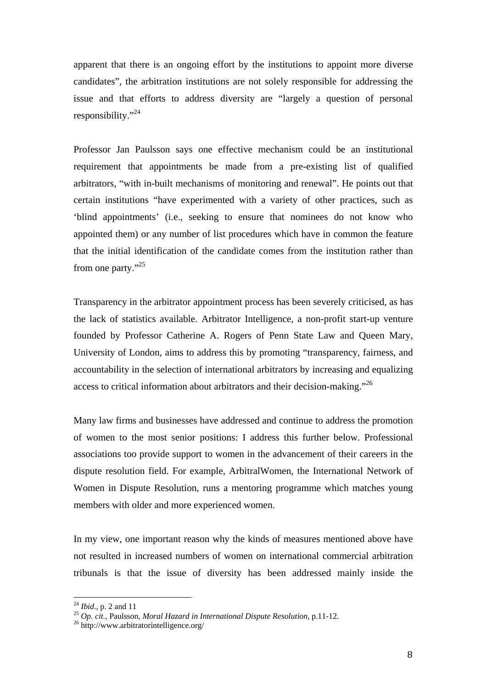apparent that there is an ongoing effort by the institutions to appoint more diverse candidates", the arbitration institutions are not solely responsible for addressing the issue and that efforts to address diversity are "largely a question of personal responsibility."<sup>24</sup>

Professor Jan Paulsson says one effective mechanism could be an institutional requirement that appointments be made from a pre-existing list of qualified arbitrators, "with in-built mechanisms of monitoring and renewal". He points out that certain institutions "have experimented with a variety of other practices, such as 'blind appointments' (i.e., seeking to ensure that nominees do not know who appointed them) or any number of list procedures which have in common the feature that the initial identification of the candidate comes from the institution rather than from one party."25

Transparency in the arbitrator appointment process has been severely criticised, as has the lack of statistics available. Arbitrator Intelligence, a non-profit start-up venture founded by Professor Catherine A. Rogers of Penn State Law and Queen Mary, University of London, aims to address this by promoting "transparency, fairness, and accountability in the selection of international arbitrators by increasing and equalizing access to critical information about arbitrators and their decision-making."26

Many law firms and businesses have addressed and continue to address the promotion of women to the most senior positions: I address this further below. Professional associations too provide support to women in the advancement of their careers in the dispute resolution field. For example, ArbitralWomen, the International Network of Women in Dispute Resolution, runs a mentoring programme which matches young members with older and more experienced women.

In my view, one important reason why the kinds of measures mentioned above have not resulted in increased numbers of women on international commercial arbitration tribunals is that the issue of diversity has been addressed mainly inside the

<sup>&</sup>lt;sup>24</sup> *Ibid.*, p. 2 and 11 <sup>25</sup> *Op. cit.*, Paulsson, *Moral Hazard in International Dispute Resolution*, p.11-12. <sup>26</sup> http://www.arbitratorintelligence.org/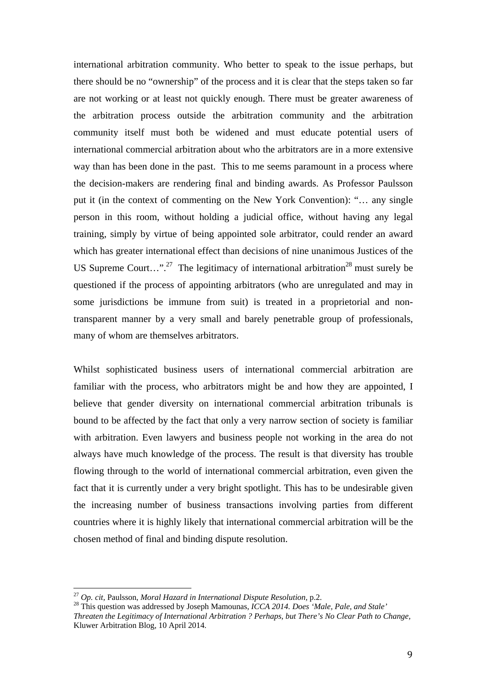international arbitration community. Who better to speak to the issue perhaps, but there should be no "ownership" of the process and it is clear that the steps taken so far are not working or at least not quickly enough. There must be greater awareness of the arbitration process outside the arbitration community and the arbitration community itself must both be widened and must educate potential users of international commercial arbitration about who the arbitrators are in a more extensive way than has been done in the past. This to me seems paramount in a process where the decision-makers are rendering final and binding awards. As Professor Paulsson put it (in the context of commenting on the New York Convention): "… any single person in this room, without holding a judicial office, without having any legal training, simply by virtue of being appointed sole arbitrator, could render an award which has greater international effect than decisions of nine unanimous Justices of the US Supreme Court...".<sup>27</sup> The legitimacy of international arbitration<sup>28</sup> must surely be questioned if the process of appointing arbitrators (who are unregulated and may in some jurisdictions be immune from suit) is treated in a proprietorial and nontransparent manner by a very small and barely penetrable group of professionals, many of whom are themselves arbitrators.

Whilst sophisticated business users of international commercial arbitration are familiar with the process, who arbitrators might be and how they are appointed, I believe that gender diversity on international commercial arbitration tribunals is bound to be affected by the fact that only a very narrow section of society is familiar with arbitration. Even lawyers and business people not working in the area do not always have much knowledge of the process. The result is that diversity has trouble flowing through to the world of international commercial arbitration, even given the fact that it is currently under a very bright spotlight. This has to be undesirable given the increasing number of business transactions involving parties from different countries where it is highly likely that international commercial arbitration will be the chosen method of final and binding dispute resolution.

<sup>27</sup> *Op. cit,* Paulsson, *Moral Hazard in International Dispute Resolution,* p.2. 28 This question was addressed by Joseph Mamounas, *ICCA 2014. Does 'Male, Pale, and Stale' Threaten the Legitimacy of International Arbitration ? Perhaps, but There's No Clear Path to Change,*  Kluwer Arbitration Blog, 10 April 2014.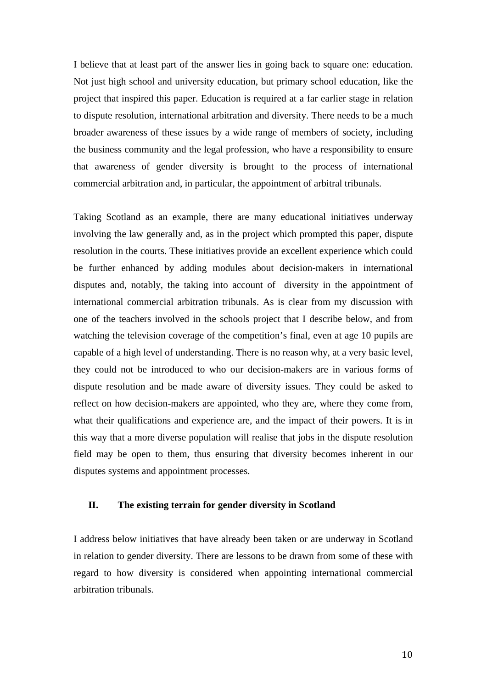I believe that at least part of the answer lies in going back to square one: education. Not just high school and university education, but primary school education, like the project that inspired this paper. Education is required at a far earlier stage in relation to dispute resolution, international arbitration and diversity. There needs to be a much broader awareness of these issues by a wide range of members of society, including the business community and the legal profession, who have a responsibility to ensure that awareness of gender diversity is brought to the process of international commercial arbitration and, in particular, the appointment of arbitral tribunals.

Taking Scotland as an example, there are many educational initiatives underway involving the law generally and, as in the project which prompted this paper, dispute resolution in the courts. These initiatives provide an excellent experience which could be further enhanced by adding modules about decision-makers in international disputes and, notably, the taking into account of diversity in the appointment of international commercial arbitration tribunals. As is clear from my discussion with one of the teachers involved in the schools project that I describe below, and from watching the television coverage of the competition's final, even at age 10 pupils are capable of a high level of understanding. There is no reason why, at a very basic level, they could not be introduced to who our decision-makers are in various forms of dispute resolution and be made aware of diversity issues. They could be asked to reflect on how decision-makers are appointed, who they are, where they come from, what their qualifications and experience are, and the impact of their powers. It is in this way that a more diverse population will realise that jobs in the dispute resolution field may be open to them, thus ensuring that diversity becomes inherent in our disputes systems and appointment processes.

# **II. The existing terrain for gender diversity in Scotland**

I address below initiatives that have already been taken or are underway in Scotland in relation to gender diversity. There are lessons to be drawn from some of these with regard to how diversity is considered when appointing international commercial arbitration tribunals.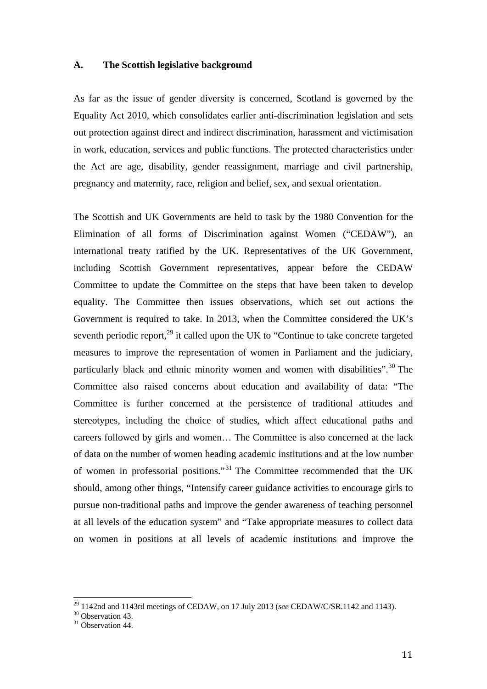#### **A. The Scottish legislative background**

As far as the issue of gender diversity is concerned, Scotland is governed by the Equality Act 2010, which consolidates earlier anti-discrimination legislation and sets out protection against direct and indirect discrimination, harassment and victimisation in work, education, services and public functions. The protected characteristics under the Act are age, disability, gender reassignment, marriage and civil partnership, pregnancy and maternity, race, religion and belief, sex, and sexual orientation.

The Scottish and UK Governments are held to task by the 1980 Convention for the Elimination of all forms of Discrimination against Women ("CEDAW"), an international treaty ratified by the UK. Representatives of the UK Government, including Scottish Government representatives, appear before the CEDAW Committee to update the Committee on the steps that have been taken to develop equality. The Committee then issues observations, which set out actions the Government is required to take. In 2013, when the Committee considered the UK's seventh periodic report, $^{29}$  it called upon the UK to "Continue to take concrete targeted measures to improve the representation of women in Parliament and the judiciary, particularly black and ethnic minority women and women with disabilities".<sup>30</sup> The Committee also raised concerns about education and availability of data: "The Committee is further concerned at the persistence of traditional attitudes and stereotypes, including the choice of studies, which affect educational paths and careers followed by girls and women… The Committee is also concerned at the lack of data on the number of women heading academic institutions and at the low number of women in professorial positions."31 The Committee recommended that the UK should, among other things, "Intensify career guidance activities to encourage girls to pursue non-traditional paths and improve the gender awareness of teaching personnel at all levels of the education system" and "Take appropriate measures to collect data on women in positions at all levels of academic institutions and improve the

<sup>&</sup>lt;sup>29</sup> 1142nd and 1143rd meetings of CEDAW, on 17 July 2013 (*see* CEDAW/C/SR.1142 and 1143).<br><sup>30</sup> Observation 43.

<sup>&</sup>lt;sup>31</sup> Observation 44.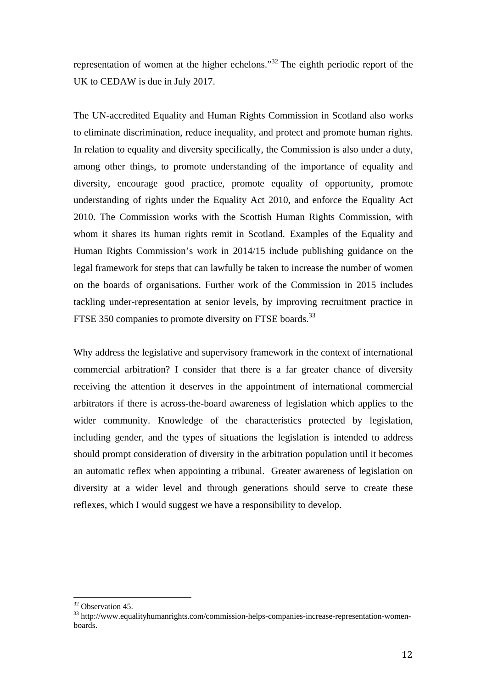representation of women at the higher echelons."32 The eighth periodic report of the UK to CEDAW is due in July 2017.

The UN-accredited Equality and Human Rights Commission in Scotland also works to eliminate discrimination, reduce inequality, and protect and promote human rights. In relation to equality and diversity specifically, the Commission is also under a duty, among other things, to promote understanding of the importance of equality and diversity, encourage good practice, promote equality of opportunity, promote understanding of rights under the Equality Act 2010, and enforce the Equality Act 2010. The Commission works with the Scottish Human Rights Commission, with whom it shares its human rights remit in Scotland. Examples of the Equality and Human Rights Commission's work in 2014/15 include publishing guidance on the legal framework for steps that can lawfully be taken to increase the number of women on the boards of organisations. Further work of the Commission in 2015 includes tackling under-representation at senior levels, by improving recruitment practice in FTSE 350 companies to promote diversity on FTSE boards.<sup>33</sup>

Why address the legislative and supervisory framework in the context of international commercial arbitration? I consider that there is a far greater chance of diversity receiving the attention it deserves in the appointment of international commercial arbitrators if there is across-the-board awareness of legislation which applies to the wider community. Knowledge of the characteristics protected by legislation, including gender, and the types of situations the legislation is intended to address should prompt consideration of diversity in the arbitration population until it becomes an automatic reflex when appointing a tribunal. Greater awareness of legislation on diversity at a wider level and through generations should serve to create these reflexes, which I would suggest we have a responsibility to develop.

<sup>&</sup>lt;sup>32</sup> Observation 45.

<sup>33</sup> http://www.equalityhumanrights.com/commission-helps-companies-increase-representation-womenboards.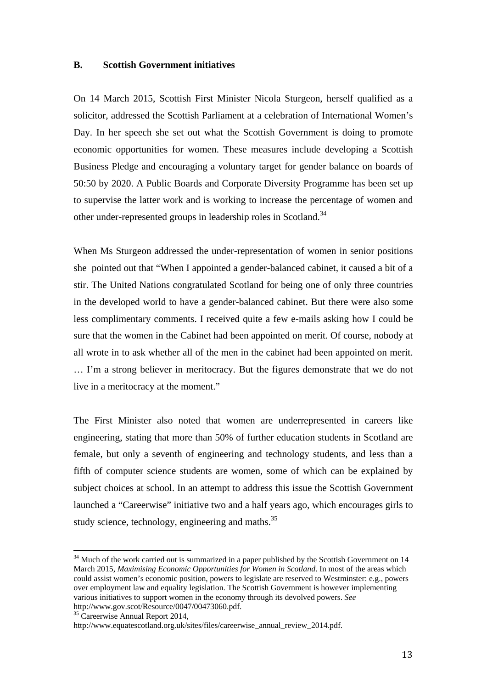#### **B. Scottish Government initiatives**

On 14 March 2015, Scottish First Minister Nicola Sturgeon, herself qualified as a solicitor, addressed the Scottish Parliament at a celebration of International Women's Day. In her speech she set out what the Scottish Government is doing to promote economic opportunities for women. These measures include developing a Scottish Business Pledge and encouraging a voluntary target for gender balance on boards of 50:50 by 2020. A Public Boards and Corporate Diversity Programme has been set up to supervise the latter work and is working to increase the percentage of women and other under-represented groups in leadership roles in Scotland.<sup>34</sup>

When Ms Sturgeon addressed the under-representation of women in senior positions she pointed out that "When I appointed a gender-balanced cabinet, it caused a bit of a stir. The United Nations congratulated Scotland for being one of only three countries in the developed world to have a gender-balanced cabinet. But there were also some less complimentary comments. I received quite a few e-mails asking how I could be sure that the women in the Cabinet had been appointed on merit. Of course, nobody at all wrote in to ask whether all of the men in the cabinet had been appointed on merit. … I'm a strong believer in meritocracy. But the figures demonstrate that we do not live in a meritocracy at the moment."

The First Minister also noted that women are underrepresented in careers like engineering, stating that more than 50% of further education students in Scotland are female, but only a seventh of engineering and technology students, and less than a fifth of computer science students are women, some of which can be explained by subject choices at school. In an attempt to address this issue the Scottish Government launched a "Careerwise" initiative two and a half years ago, which encourages girls to study science, technology, engineering and maths.<sup>35</sup>

<sup>&</sup>lt;sup>34</sup> Much of the work carried out is summarized in a paper published by the Scottish Government on 14 March 2015, *Maximising Economic Opportunities for Women in Scotland*. In most of the areas which could assist women's economic position, powers to legislate are reserved to Westminster: e.g., powers over employment law and equality legislation. The Scottish Government is however implementing various initiatives to support women in the economy through its devolved powers. *See*  http://www.gov.scot/Resource/0047/00473060.pdf.<br><sup>35</sup> Careerwise Annual Report 2014,

http://www.equatescotland.org.uk/sites/files/careerwise\_annual\_review\_2014.pdf.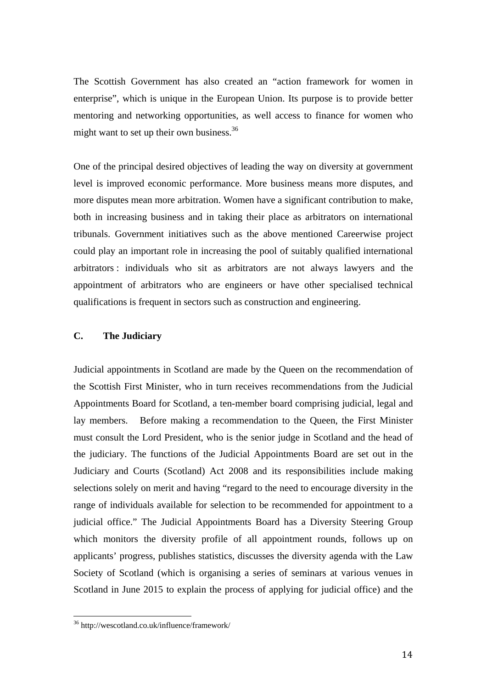The Scottish Government has also created an "action framework for women in enterprise", which is unique in the European Union. Its purpose is to provide better mentoring and networking opportunities, as well access to finance for women who might want to set up their own business.<sup>36</sup>

One of the principal desired objectives of leading the way on diversity at government level is improved economic performance. More business means more disputes, and more disputes mean more arbitration. Women have a significant contribution to make, both in increasing business and in taking their place as arbitrators on international tribunals. Government initiatives such as the above mentioned Careerwise project could play an important role in increasing the pool of suitably qualified international arbitrators : individuals who sit as arbitrators are not always lawyers and the appointment of arbitrators who are engineers or have other specialised technical qualifications is frequent in sectors such as construction and engineering.

## **C. The Judiciary**

Judicial appointments in Scotland are made by the Queen on the recommendation of the Scottish First Minister, who in turn receives recommendations from the Judicial Appointments Board for Scotland, a ten-member board comprising judicial, legal and lay members. Before making a recommendation to the Queen, the First Minister must consult the Lord President, who is the senior judge in Scotland and the head of the judiciary. The functions of the Judicial Appointments Board are set out in the Judiciary and Courts (Scotland) Act 2008 and its responsibilities include making selections solely on merit and having "regard to the need to encourage diversity in the range of individuals available for selection to be recommended for appointment to a judicial office." The Judicial Appointments Board has a Diversity Steering Group which monitors the diversity profile of all appointment rounds, follows up on applicants' progress, publishes statistics, discusses the diversity agenda with the Law Society of Scotland (which is organising a series of seminars at various venues in Scotland in June 2015 to explain the process of applying for judicial office) and the

<sup>36</sup> http://wescotland.co.uk/influence/framework/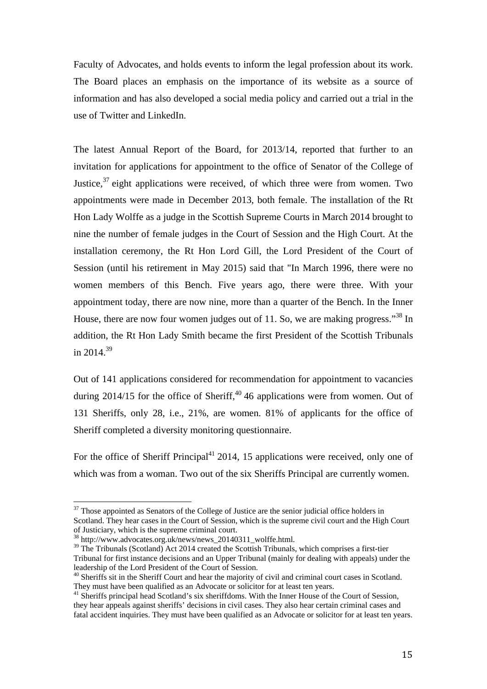Faculty of Advocates, and holds events to inform the legal profession about its work. The Board places an emphasis on the importance of its website as a source of information and has also developed a social media policy and carried out a trial in the use of Twitter and LinkedIn.

The latest Annual Report of the Board, for 2013/14, reported that further to an invitation for applications for appointment to the office of Senator of the College of Justice, $37$  eight applications were received, of which three were from women. Two appointments were made in December 2013, both female. The installation of the Rt Hon Lady Wolffe as a judge in the Scottish Supreme Courts in March 2014 brought to nine the number of female judges in the Court of Session and the High Court. At the installation ceremony, the Rt Hon Lord Gill, the Lord President of the Court of Session (until his retirement in May 2015) said that "In March 1996, there were no women members of this Bench. Five years ago, there were three. With your appointment today, there are now nine, more than a quarter of the Bench. In the Inner House, there are now four women judges out of 11. So, we are making progress."<sup>38</sup> In addition, the Rt Hon Lady Smith became the first President of the Scottish Tribunals in  $2014.<sup>39</sup>$ 

Out of 141 applications considered for recommendation for appointment to vacancies during  $2014/15$  for the office of Sheriff,<sup>40</sup> 46 applications were from women. Out of 131 Sheriffs, only 28, i.e., 21%, are women. 81% of applicants for the office of Sheriff completed a diversity monitoring questionnaire.

For the office of Sheriff Principal<sup>41</sup> 2014, 15 applications were received, only one of which was from a woman. Two out of the six Sheriffs Principal are currently women.

<sup>&</sup>lt;sup>37</sup> Those appointed as Senators of the College of Justice are the senior judicial office holders in Scotland. They hear cases in the Court of Session, which is the supreme civil court and the High Court of Justiciary, which is the supreme criminal court.

<sup>&</sup>lt;sup>38</sup> http://www.advocates.org.uk/news/news 20140311 wolffe.html.

<sup>&</sup>lt;sup>39</sup> The Tribunals (Scotland) Act 2014 created the Scottish Tribunals, which comprises a first-tier Tribunal for first instance decisions and an Upper Tribunal (mainly for dealing with appeals) under the

 $40$  Sheriffs sit in the Sheriff Court and hear the majority of civil and criminal court cases in Scotland. They must have been qualified as an Advocate or solicitor for at least ten years.

<sup>&</sup>lt;sup>41</sup> Sheriffs principal head Scotland's six sheriffdoms. With the Inner House of the Court of Session, they hear appeals against sheriffs' decisions in civil cases. They also hear certain criminal cases and fatal accident inquiries. They must have been qualified as an Advocate or solicitor for at least ten years.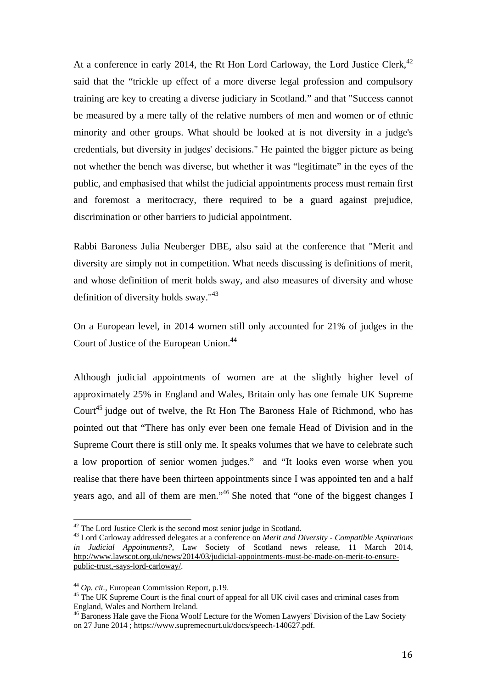At a conference in early 2014, the Rt Hon Lord Carloway, the Lord Justice Clerk.<sup>42</sup> said that the "trickle up effect of a more diverse legal profession and compulsory training are key to creating a diverse judiciary in Scotland." and that "Success cannot be measured by a mere tally of the relative numbers of men and women or of ethnic minority and other groups. What should be looked at is not diversity in a judge's credentials, but diversity in judges' decisions." He painted the bigger picture as being not whether the bench was diverse, but whether it was "legitimate" in the eyes of the public, and emphasised that whilst the judicial appointments process must remain first and foremost a meritocracy, there required to be a guard against prejudice, discrimination or other barriers to judicial appointment.

Rabbi Baroness Julia Neuberger DBE, also said at the conference that "Merit and diversity are simply not in competition. What needs discussing is definitions of merit, and whose definition of merit holds sway, and also measures of diversity and whose definition of diversity holds sway."43

On a European level, in 2014 women still only accounted for 21% of judges in the Court of Justice of the European Union.<sup>44</sup>

Although judicial appointments of women are at the slightly higher level of approximately 25% in England and Wales, Britain only has one female UK Supreme Court<sup>45</sup> judge out of twelve, the Rt Hon The Baroness Hale of Richmond, who has pointed out that "There has only ever been one female Head of Division and in the Supreme Court there is still only me. It speaks volumes that we have to celebrate such a low proportion of senior women judges." and "It looks even worse when you realise that there have been thirteen appointments since I was appointed ten and a half years ago, and all of them are men."46 She noted that "one of the biggest changes I

 $42$  The Lord Justice Clerk is the second most senior judge in Scotland.

<sup>&</sup>lt;sup>43</sup> Lord Carloway addressed delegates at a conference on *Merit and Diversity - Compatible Aspirations in Judicial Appointments?*, Law Society of Scotland news release, 11 March 2014, http://www.lawscot.org.uk/news/2014/03/judicial-appointments-must-be-made-on-merit-to-ensurepublic-trust,-says-lord-carloway/.

<sup>&</sup>lt;sup>44</sup> *Op. cit.*, European Commission Report, p.19.<br><sup>45</sup> The UK Supreme Court is the final court of appeal for all UK civil cases and criminal cases from England, Wales and Northern Ireland.

<sup>&</sup>lt;sup>46</sup> Baroness Hale gave the Fiona Woolf Lecture for the Women Lawyers' Division of the Law Society on 27 June 2014 ; https://www.supremecourt.uk/docs/speech-140627.pdf.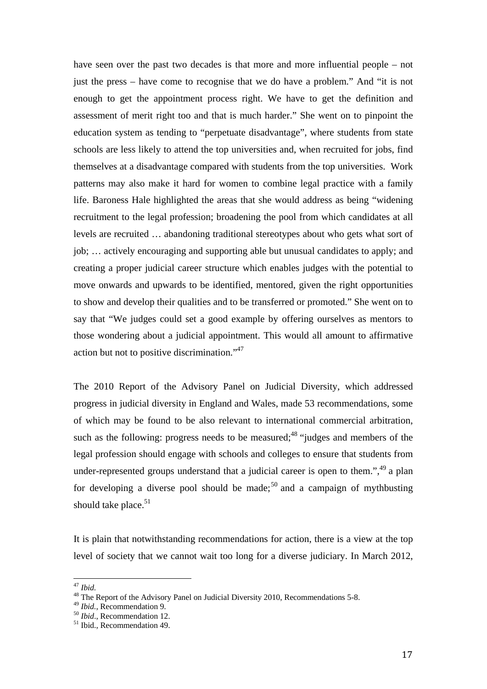have seen over the past two decades is that more and more influential people – not just the press – have come to recognise that we do have a problem." And "it is not enough to get the appointment process right. We have to get the definition and assessment of merit right too and that is much harder." She went on to pinpoint the education system as tending to "perpetuate disadvantage", where students from state schools are less likely to attend the top universities and, when recruited for jobs, find themselves at a disadvantage compared with students from the top universities. Work patterns may also make it hard for women to combine legal practice with a family life. Baroness Hale highlighted the areas that she would address as being "widening recruitment to the legal profession; broadening the pool from which candidates at all levels are recruited … abandoning traditional stereotypes about who gets what sort of job; … actively encouraging and supporting able but unusual candidates to apply; and creating a proper judicial career structure which enables judges with the potential to move onwards and upwards to be identified, mentored, given the right opportunities to show and develop their qualities and to be transferred or promoted." She went on to say that "We judges could set a good example by offering ourselves as mentors to those wondering about a judicial appointment. This would all amount to affirmative action but not to positive discrimination."47

The 2010 Report of the Advisory Panel on Judicial Diversity, which addressed progress in judicial diversity in England and Wales, made 53 recommendations, some of which may be found to be also relevant to international commercial arbitration, such as the following: progress needs to be measured; $48$  "judges and members of the legal profession should engage with schools and colleges to ensure that students from under-represented groups understand that a judicial career is open to them.",  $49^{\circ}$  a plan for developing a diverse pool should be made;<sup>50</sup> and a campaign of mythbusting should take place. $51$ 

It is plain that notwithstanding recommendations for action, there is a view at the top level of society that we cannot wait too long for a diverse judiciary. In March 2012,

<sup>&</sup>lt;sup>47</sup> *Ibid.* <sup>48</sup> The Report of the Advisory Panel on Judicial Diversity 2010, Recommendations 5-8. <sup>49</sup> *Ibid.*, Recommendation 9.

<sup>&</sup>lt;sup>50</sup> *Ibid.*, Recommendation 12.<br><sup>51</sup> Ibid., Recommendation 49.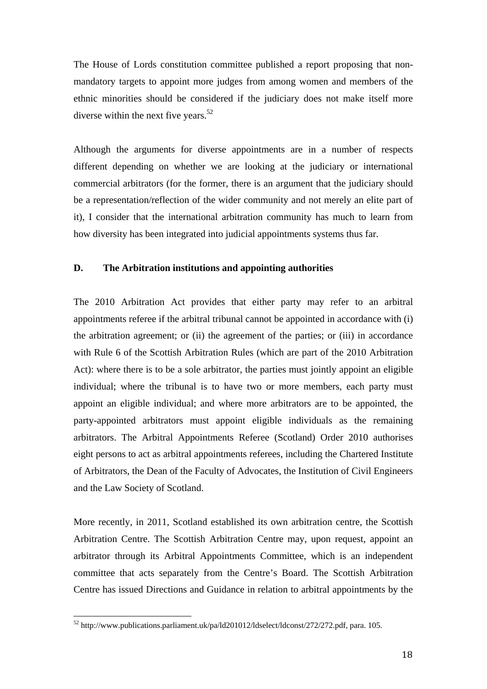The House of Lords constitution committee published a report proposing that nonmandatory targets to appoint more judges from among women and members of the ethnic minorities should be considered if the judiciary does not make itself more diverse within the next five years.<sup>52</sup>

Although the arguments for diverse appointments are in a number of respects different depending on whether we are looking at the judiciary or international commercial arbitrators (for the former, there is an argument that the judiciary should be a representation/reflection of the wider community and not merely an elite part of it), I consider that the international arbitration community has much to learn from how diversity has been integrated into judicial appointments systems thus far.

# **D. The Arbitration institutions and appointing authorities**

The 2010 Arbitration Act provides that either party may refer to an arbitral appointments referee if the arbitral tribunal cannot be appointed in accordance with (i) the arbitration agreement; or (ii) the agreement of the parties; or (iii) in accordance with Rule 6 of the Scottish Arbitration Rules (which are part of the 2010 Arbitration Act): where there is to be a sole arbitrator, the parties must jointly appoint an eligible individual; where the tribunal is to have two or more members, each party must appoint an eligible individual; and where more arbitrators are to be appointed, the party-appointed arbitrators must appoint eligible individuals as the remaining arbitrators. The Arbitral Appointments Referee (Scotland) Order 2010 authorises eight persons to act as arbitral appointments referees, including the Chartered Institute of Arbitrators, the Dean of the Faculty of Advocates, the Institution of Civil Engineers and the Law Society of Scotland.

More recently, in 2011, Scotland established its own arbitration centre, the Scottish Arbitration Centre. The Scottish Arbitration Centre may, upon request, appoint an arbitrator through its Arbitral Appointments Committee, which is an independent committee that acts separately from the Centre's Board. The Scottish Arbitration Centre has issued Directions and Guidance in relation to arbitral appointments by the

 $52$  http://www.publications.parliament.uk/pa/ld201012/ldselect/ldconst/272/272.pdf, para. 105.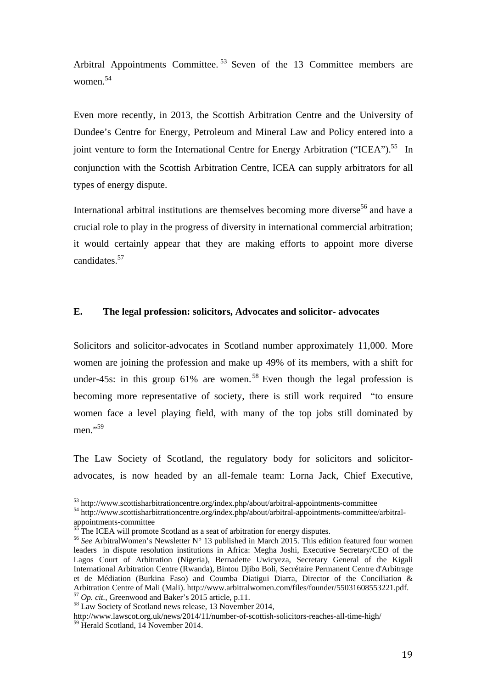Arbitral Appointments Committee.<sup>53</sup> Seven of the 13 Committee members are women.54

Even more recently, in 2013, the Scottish Arbitration Centre and the University of Dundee's Centre for Energy, Petroleum and Mineral Law and Policy entered into a joint venture to form the International Centre for Energy Arbitration ("ICEA").<sup>55</sup> In conjunction with the Scottish Arbitration Centre, ICEA can supply arbitrators for all types of energy dispute.

International arbitral institutions are themselves becoming more diverse<sup>56</sup> and have a crucial role to play in the progress of diversity in international commercial arbitration; it would certainly appear that they are making efforts to appoint more diverse candidates<sup>57</sup>

# **E. The legal profession: solicitors, Advocates and solicitor- advocates**

Solicitors and solicitor-advocates in Scotland number approximately 11,000. More women are joining the profession and make up 49% of its members, with a shift for under-45s: in this group 61% are women.<sup>58</sup> Even though the legal profession is becoming more representative of society, there is still work required "to ensure women face a level playing field, with many of the top jobs still dominated by men."<sup>59</sup>

The Law Society of Scotland, the regulatory body for solicitors and solicitoradvocates, is now headed by an all-female team: Lorna Jack, Chief Executive,

 $53$  http://www.scottisharbitrationcentre.org/index.php/about/arbitral-appointments-committee

<sup>&</sup>lt;sup>54</sup> http://www.scottisharbitrationcentre.org/index.php/about/arbitral-appointments-committee/arbitralappointments-committee<br>
<sup>55</sup> The ICEA will promote Scotland as a seat of arbitration for energy disputes.

<sup>&</sup>lt;sup>56</sup> See ArbitralWomen's Newsletter N° 13 published in March 2015. This edition featured four women leaders in dispute resolution institutions in Africa: Megha Joshi, Executive Secretary/CEO of the Lagos Court of Arbitration (Nigeria), Bernadette Uwicyeza, Secretary General of the Kigali International Arbitration Centre (Rwanda), Bintou Djibo Boli, Secrétaire Permanent Centre d'Arbitrage et de Médiation (Burkina Faso) and Coumba Diatigui Diarra, Director of the Conciliation & Arbitration Centre of Mali (Mali). http://www.arbitralwomen.com/files/founder/55031608553221.pdf.<br><sup>57</sup> *Op. cit.*, Greenwood and Baker's 2015 article, p.11.<br><sup>58</sup> Law Society of Scotland news release, 13 November 2014,

http://www.lawscot.org.uk/news/2014/11/number-of-scottish-solicitors-reaches-all-time-high/ 59 Herald Scotland, 14 November 2014.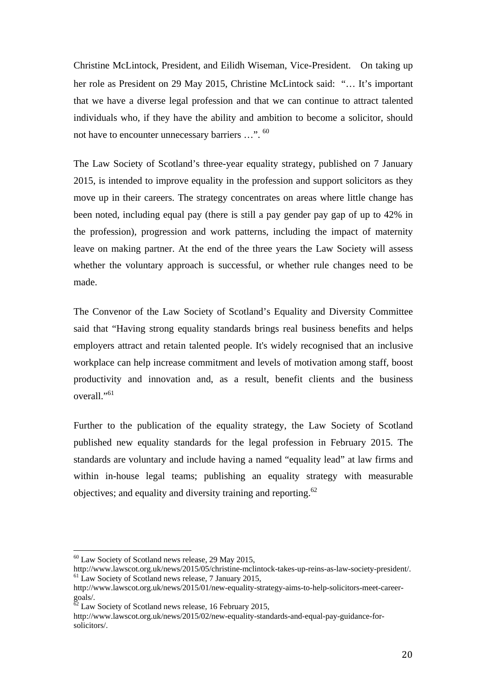Christine McLintock, President, and Eilidh Wiseman, Vice-President. On taking up her role as President on 29 May 2015, Christine McLintock said: "… It's important that we have a diverse legal profession and that we can continue to attract talented individuals who, if they have the ability and ambition to become a solicitor, should not have to encounter unnecessary barriers ...". <sup>60</sup>

The Law Society of Scotland's three-year equality strategy, published on 7 January 2015, is intended to improve equality in the profession and support solicitors as they move up in their careers. The strategy concentrates on areas where little change has been noted, including equal pay (there is still a pay gender pay gap of up to 42% in the profession), progression and work patterns, including the impact of maternity leave on making partner. At the end of the three years the Law Society will assess whether the voluntary approach is successful, or whether rule changes need to be made.

The Convenor of the Law Society of Scotland's Equality and Diversity Committee said that "Having strong equality standards brings real business benefits and helps employers attract and retain talented people. It's widely recognised that an inclusive workplace can help increase commitment and levels of motivation among staff, boost productivity and innovation and, as a result, benefit clients and the business overall."<sup>61</sup>

Further to the publication of the equality strategy, the Law Society of Scotland published new equality standards for the legal profession in February 2015. The standards are voluntary and include having a named "equality lead" at law firms and within in-house legal teams; publishing an equality strategy with measurable objectives; and equality and diversity training and reporting.<sup>62</sup>

<sup>60</sup> Law Society of Scotland news release, 29 May 2015,

http://www.lawscot.org.uk/news/2015/05/christine-mclintock-takes-up-reins-as-law-society-president/. 61 Law Society of Scotland news release, 7 January 2015,

http://www.lawscot.org.uk/news/2015/01/new-equality-strategy-aims-to-help-solicitors-meet-careergoals/.

 $\frac{62}{2}$  Law Society of Scotland news release, 16 February 2015,

http://www.lawscot.org.uk/news/2015/02/new-equality-standards-and-equal-pay-guidance-forsolicitors/.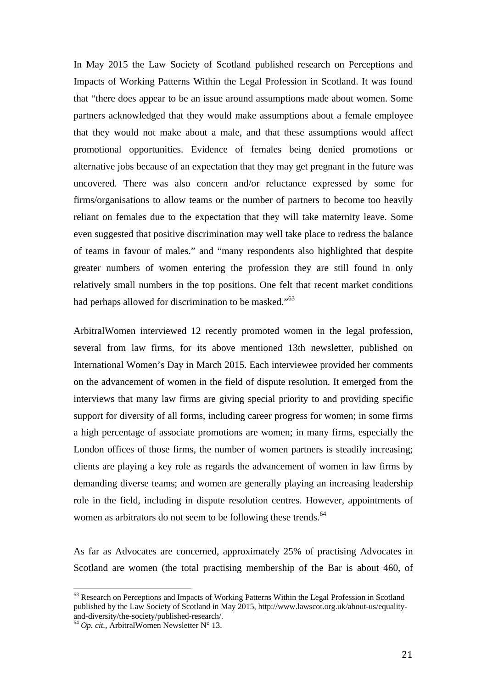In May 2015 the Law Society of Scotland published research on Perceptions and Impacts of Working Patterns Within the Legal Profession in Scotland. It was found that "there does appear to be an issue around assumptions made about women. Some partners acknowledged that they would make assumptions about a female employee that they would not make about a male, and that these assumptions would affect promotional opportunities. Evidence of females being denied promotions or alternative jobs because of an expectation that they may get pregnant in the future was uncovered. There was also concern and/or reluctance expressed by some for firms/organisations to allow teams or the number of partners to become too heavily reliant on females due to the expectation that they will take maternity leave. Some even suggested that positive discrimination may well take place to redress the balance of teams in favour of males." and "many respondents also highlighted that despite greater numbers of women entering the profession they are still found in only relatively small numbers in the top positions. One felt that recent market conditions had perhaps allowed for discrimination to be masked."<sup>63</sup>

ArbitralWomen interviewed 12 recently promoted women in the legal profession, several from law firms, for its above mentioned 13th newsletter, published on International Women's Day in March 2015. Each interviewee provided her comments on the advancement of women in the field of dispute resolution. It emerged from the interviews that many law firms are giving special priority to and providing specific support for diversity of all forms, including career progress for women; in some firms a high percentage of associate promotions are women; in many firms, especially the London offices of those firms, the number of women partners is steadily increasing; clients are playing a key role as regards the advancement of women in law firms by demanding diverse teams; and women are generally playing an increasing leadership role in the field, including in dispute resolution centres. However, appointments of women as arbitrators do not seem to be following these trends.<sup>64</sup>

As far as Advocates are concerned, approximately 25% of practising Advocates in Scotland are women (the total practising membership of the Bar is about 460, of

<sup>&</sup>lt;sup>63</sup> Research on Perceptions and Impacts of Working Patterns Within the Legal Profession in Scotland published by the Law Society of Scotland in May 2015, http://www.lawscot.org.uk/about-us/equalityand-diversity/the-society/published-research/.

<sup>64</sup> *Op. cit.,* ArbitralWomen Newsletter N° 13.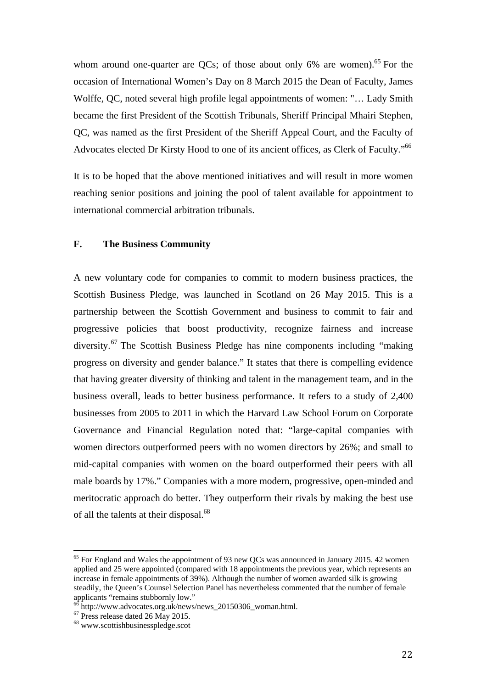whom around one-quarter are  $OCs$ ; of those about only 6% are women).<sup>65</sup> For the occasion of International Women's Day on 8 March 2015 the Dean of Faculty, James Wolffe, QC, noted several high profile legal appointments of women: "… Lady Smith became the first President of the Scottish Tribunals, Sheriff Principal Mhairi Stephen, QC, was named as the first President of the Sheriff Appeal Court, and the Faculty of Advocates elected Dr Kirsty Hood to one of its ancient offices, as Clerk of Faculty."66

It is to be hoped that the above mentioned initiatives and will result in more women reaching senior positions and joining the pool of talent available for appointment to international commercial arbitration tribunals.

#### **F. The Business Community**

A new voluntary code for companies to commit to modern business practices, the Scottish Business Pledge, was launched in Scotland on 26 May 2015. This is a partnership between the Scottish Government and business to commit to fair and progressive policies that boost productivity, recognize fairness and increase diversity.67 The Scottish Business Pledge has nine components including "making progress on diversity and gender balance." It states that there is compelling evidence that having greater diversity of thinking and talent in the management team, and in the business overall, leads to better business performance. It refers to a study of 2,400 businesses from 2005 to 2011 in which the Harvard Law School Forum on Corporate Governance and Financial Regulation noted that: "large-capital companies with women directors outperformed peers with no women directors by 26%; and small to mid-capital companies with women on the board outperformed their peers with all male boards by 17%." Companies with a more modern, progressive, open-minded and meritocratic approach do better. They outperform their rivals by making the best use of all the talents at their disposal.<sup>68</sup>

 $<sup>65</sup>$  For England and Wales the appointment of 93 new QCs was announced in January 2015. 42 women</sup> applied and 25 were appointed (compared with 18 appointments the previous year, which represents an increase in female appointments of 39%). Although the number of women awarded silk is growing steadily, the Queen's Counsel Selection Panel has nevertheless commented that the number of female applicants "remains stubbornly low."

http://www.advocates.org.uk/news/news\_20150306\_woman.html.

<sup>67</sup> Press release dated 26 May 2015.

<sup>68</sup> www.scottishbusinesspledge.scot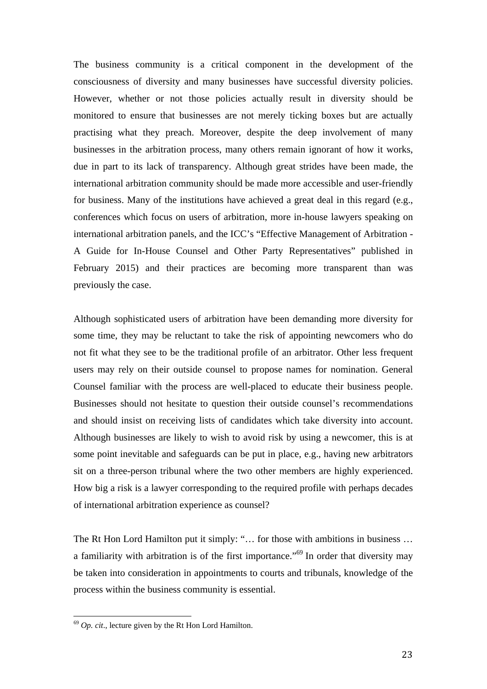The business community is a critical component in the development of the consciousness of diversity and many businesses have successful diversity policies. However, whether or not those policies actually result in diversity should be monitored to ensure that businesses are not merely ticking boxes but are actually practising what they preach. Moreover, despite the deep involvement of many businesses in the arbitration process, many others remain ignorant of how it works, due in part to its lack of transparency. Although great strides have been made, the international arbitration community should be made more accessible and user-friendly for business. Many of the institutions have achieved a great deal in this regard (e.g., conferences which focus on users of arbitration, more in-house lawyers speaking on international arbitration panels, and the ICC's "Effective Management of Arbitration - A Guide for In-House Counsel and Other Party Representatives" published in February 2015) and their practices are becoming more transparent than was previously the case.

Although sophisticated users of arbitration have been demanding more diversity for some time, they may be reluctant to take the risk of appointing newcomers who do not fit what they see to be the traditional profile of an arbitrator. Other less frequent users may rely on their outside counsel to propose names for nomination. General Counsel familiar with the process are well-placed to educate their business people. Businesses should not hesitate to question their outside counsel's recommendations and should insist on receiving lists of candidates which take diversity into account. Although businesses are likely to wish to avoid risk by using a newcomer, this is at some point inevitable and safeguards can be put in place, e.g., having new arbitrators sit on a three-person tribunal where the two other members are highly experienced. How big a risk is a lawyer corresponding to the required profile with perhaps decades of international arbitration experience as counsel?

The Rt Hon Lord Hamilton put it simply: "... for those with ambitions in business ... a familiarity with arbitration is of the first importance."<sup>69</sup> In order that diversity may be taken into consideration in appointments to courts and tribunals, knowledge of the process within the business community is essential.

<sup>69</sup> *Op. cit*., lecture given by the Rt Hon Lord Hamilton.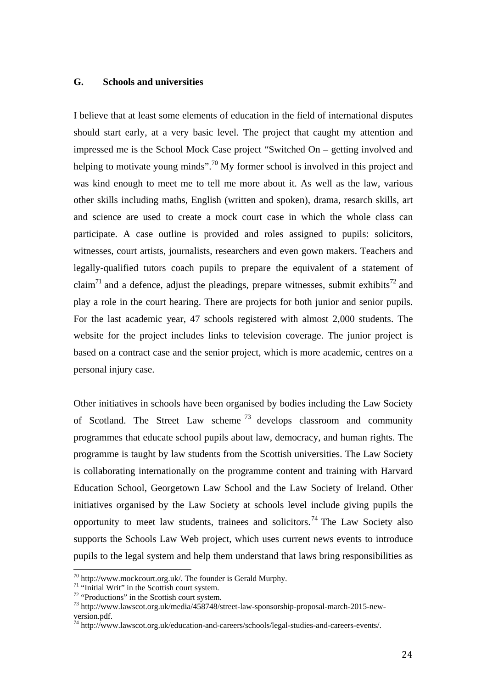# **G. Schools and universities**

I believe that at least some elements of education in the field of international disputes should start early, at a very basic level. The project that caught my attention and impressed me is the School Mock Case project "Switched On – getting involved and helping to motivate young minds".<sup>70</sup> My former school is involved in this project and was kind enough to meet me to tell me more about it. As well as the law, various other skills including maths, English (written and spoken), drama, resarch skills, art and science are used to create a mock court case in which the whole class can participate. A case outline is provided and roles assigned to pupils: solicitors, witnesses, court artists, journalists, researchers and even gown makers. Teachers and legally-qualified tutors coach pupils to prepare the equivalent of a statement of claim<sup>71</sup> and a defence, adjust the pleadings, prepare witnesses, submit exhibits<sup>72</sup> and play a role in the court hearing. There are projects for both junior and senior pupils. For the last academic year, 47 schools registered with almost 2,000 students. The website for the project includes links to television coverage. The junior project is based on a contract case and the senior project, which is more academic, centres on a personal injury case.

Other initiatives in schools have been organised by bodies including the Law Society of Scotland. The Street Law scheme<sup>73</sup> develops classroom and community programmes that educate school pupils about law, democracy, and human rights. The programme is taught by law students from the Scottish universities. The Law Society is collaborating internationally on the programme content and training with Harvard Education School, Georgetown Law School and the Law Society of Ireland. Other initiatives organised by the Law Society at schools level include giving pupils the opportunity to meet law students, trainees and solicitors.<sup>74</sup> The Law Society also supports the Schools Law Web project, which uses current news events to introduce pupils to the legal system and help them understand that laws bring responsibilities as

 $70$  http://www.mockcourt.org.uk/. The founder is Gerald Murphy.

<sup>&</sup>lt;sup>71</sup> "Initial Writ" in the Scottish court system.

<sup>72 &</sup>quot;Productions" in the Scottish court system.

<sup>73</sup> http://www.lawscot.org.uk/media/458748/street-law-sponsorship-proposal-march-2015-newversion.pdf.

<sup>74</sup> http://www.lawscot.org.uk/education-and-careers/schools/legal-studies-and-careers-events/.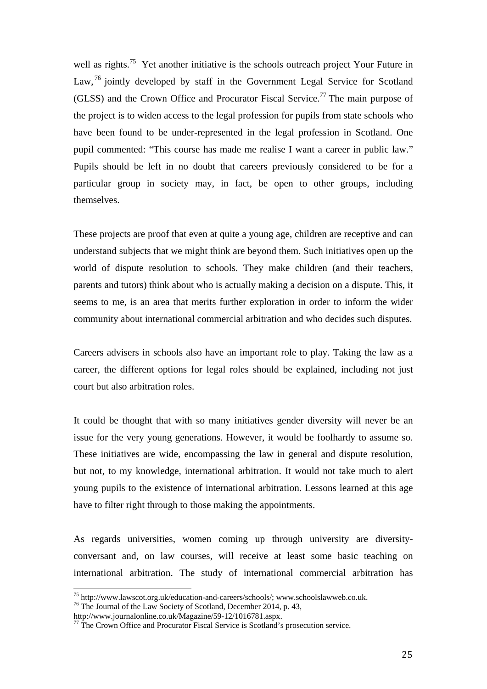well as rights.<sup>75</sup> Yet another initiative is the schools outreach project Your Future in Law,<sup>76</sup> jointly developed by staff in the Government Legal Service for Scotland (GLSS) and the Crown Office and Procurator Fiscal Service.<sup>77</sup> The main purpose of the project is to widen access to the legal profession for pupils from state schools who have been found to be under-represented in the legal profession in Scotland. One pupil commented: "This course has made me realise I want a career in public law." Pupils should be left in no doubt that careers previously considered to be for a particular group in society may, in fact, be open to other groups, including themselves.

These projects are proof that even at quite a young age, children are receptive and can understand subjects that we might think are beyond them. Such initiatives open up the world of dispute resolution to schools. They make children (and their teachers, parents and tutors) think about who is actually making a decision on a dispute. This, it seems to me, is an area that merits further exploration in order to inform the wider community about international commercial arbitration and who decides such disputes.

Careers advisers in schools also have an important role to play. Taking the law as a career, the different options for legal roles should be explained, including not just court but also arbitration roles.

It could be thought that with so many initiatives gender diversity will never be an issue for the very young generations. However, it would be foolhardy to assume so. These initiatives are wide, encompassing the law in general and dispute resolution, but not, to my knowledge, international arbitration. It would not take much to alert young pupils to the existence of international arbitration. Lessons learned at this age have to filter right through to those making the appointments.

As regards universities, women coming up through university are diversityconversant and, on law courses, will receive at least some basic teaching on international arbitration. The study of international commercial arbitration has

<sup>&</sup>lt;sup>75</sup> http://www.lawscot.org.uk/education-and-careers/schools/; www.schoolslawweb.co.uk.  $76$  The Journal of the Law Society of Scotland, December 2014, p. 43,

http://www.journalonline.co.uk/Magazine/59-12/1016781.aspx.<br><sup>77</sup> The Crown Office and Procurator Fiscal Service is Scotland's prosecution service.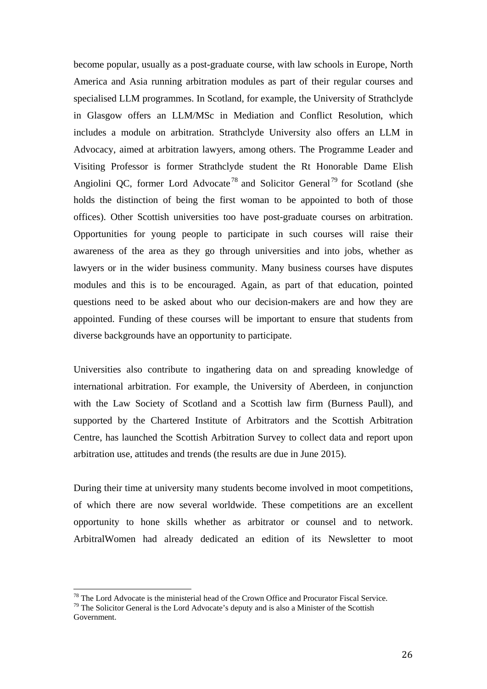become popular, usually as a post-graduate course, with law schools in Europe, North America and Asia running arbitration modules as part of their regular courses and specialised LLM programmes. In Scotland, for example, the University of Strathclyde in Glasgow offers an LLM/MSc in Mediation and Conflict Resolution, which includes a module on arbitration. Strathclyde University also offers an LLM in Advocacy, aimed at arbitration lawyers, among others. The Programme Leader and Visiting Professor is former Strathclyde student the Rt Honorable Dame Elish Angiolini QC, former Lord Advocate<sup>78</sup> and Solicitor General<sup>79</sup> for Scotland (she holds the distinction of being the first woman to be appointed to both of those offices). Other Scottish universities too have post-graduate courses on arbitration. Opportunities for young people to participate in such courses will raise their awareness of the area as they go through universities and into jobs, whether as lawyers or in the wider business community. Many business courses have disputes modules and this is to be encouraged. Again, as part of that education, pointed questions need to be asked about who our decision-makers are and how they are appointed. Funding of these courses will be important to ensure that students from diverse backgrounds have an opportunity to participate.

Universities also contribute to ingathering data on and spreading knowledge of international arbitration. For example, the University of Aberdeen, in conjunction with the Law Society of Scotland and a Scottish law firm (Burness Paull), and supported by the Chartered Institute of Arbitrators and the Scottish Arbitration Centre, has launched the Scottish Arbitration Survey to collect data and report upon arbitration use, attitudes and trends (the results are due in June 2015).

During their time at university many students become involved in moot competitions, of which there are now several worldwide. These competitions are an excellent opportunity to hone skills whether as arbitrator or counsel and to network. ArbitralWomen had already dedicated an edition of its Newsletter to moot

<sup>&</sup>lt;sup>78</sup> The Lord Advocate is the ministerial head of the Crown Office and Procurator Fiscal Service.<br><sup>79</sup> The Solicitor General is the Lord Advocate's deputy and is also a Minister of the Scottish

Government.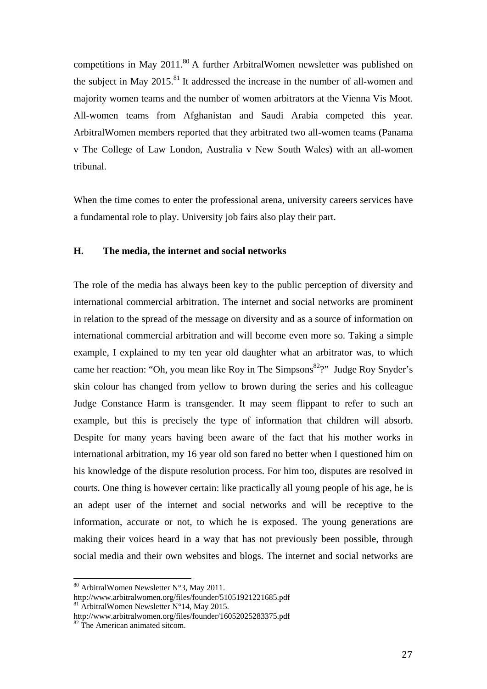competitions in May 2011.<sup>80</sup> A further ArbitralWomen newsletter was published on the subject in May  $2015$ .<sup>81</sup> It addressed the increase in the number of all-women and majority women teams and the number of women arbitrators at the Vienna Vis Moot. All-women teams from Afghanistan and Saudi Arabia competed this year. ArbitralWomen members reported that they arbitrated two all-women teams (Panama v The College of Law London, Australia v New South Wales) with an all-women tribunal.

When the time comes to enter the professional arena, university careers services have a fundamental role to play. University job fairs also play their part.

# **H. The media, the internet and social networks**

The role of the media has always been key to the public perception of diversity and international commercial arbitration. The internet and social networks are prominent in relation to the spread of the message on diversity and as a source of information on international commercial arbitration and will become even more so. Taking a simple example, I explained to my ten year old daughter what an arbitrator was, to which came her reaction: "Oh, you mean like Roy in The Simpsons<sup>82</sup>?" Judge Roy Snyder's skin colour has changed from yellow to brown during the series and his colleague Judge Constance Harm is transgender. It may seem flippant to refer to such an example, but this is precisely the type of information that children will absorb. Despite for many years having been aware of the fact that his mother works in international arbitration, my 16 year old son fared no better when I questioned him on his knowledge of the dispute resolution process. For him too, disputes are resolved in courts. One thing is however certain: like practically all young people of his age, he is an adept user of the internet and social networks and will be receptive to the information, accurate or not, to which he is exposed. The young generations are making their voices heard in a way that has not previously been possible, through social media and their own websites and blogs. The internet and social networks are

<sup>&</sup>lt;sup>80</sup> ArbitralWomen Newsletter N°3, May 2011.<br>http://www.arbitralwomen.org/files/founder/51051921221685.ndf  $\frac{1}{81}$  ArbitralWomen Newsletter N°14, May 2015.

http://www.arbitralwomen.org/files/founder/16052025283375.pdf <sup>82</sup> The American animated sitcom.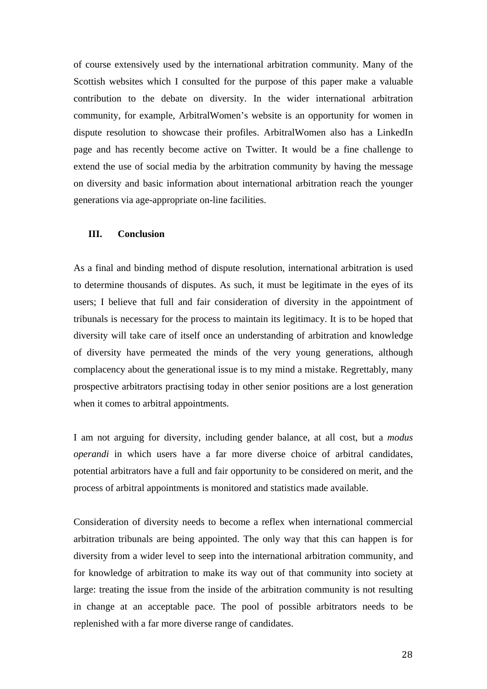of course extensively used by the international arbitration community. Many of the Scottish websites which I consulted for the purpose of this paper make a valuable contribution to the debate on diversity. In the wider international arbitration community, for example, ArbitralWomen's website is an opportunity for women in dispute resolution to showcase their profiles. ArbitralWomen also has a LinkedIn page and has recently become active on Twitter. It would be a fine challenge to extend the use of social media by the arbitration community by having the message on diversity and basic information about international arbitration reach the younger generations via age-appropriate on-line facilities.

#### **III. Conclusion**

As a final and binding method of dispute resolution, international arbitration is used to determine thousands of disputes. As such, it must be legitimate in the eyes of its users; I believe that full and fair consideration of diversity in the appointment of tribunals is necessary for the process to maintain its legitimacy. It is to be hoped that diversity will take care of itself once an understanding of arbitration and knowledge of diversity have permeated the minds of the very young generations, although complacency about the generational issue is to my mind a mistake. Regrettably, many prospective arbitrators practising today in other senior positions are a lost generation when it comes to arbitral appointments.

I am not arguing for diversity, including gender balance, at all cost, but a *modus operandi* in which users have a far more diverse choice of arbitral candidates, potential arbitrators have a full and fair opportunity to be considered on merit, and the process of arbitral appointments is monitored and statistics made available.

Consideration of diversity needs to become a reflex when international commercial arbitration tribunals are being appointed. The only way that this can happen is for diversity from a wider level to seep into the international arbitration community, and for knowledge of arbitration to make its way out of that community into society at large: treating the issue from the inside of the arbitration community is not resulting in change at an acceptable pace. The pool of possible arbitrators needs to be replenished with a far more diverse range of candidates.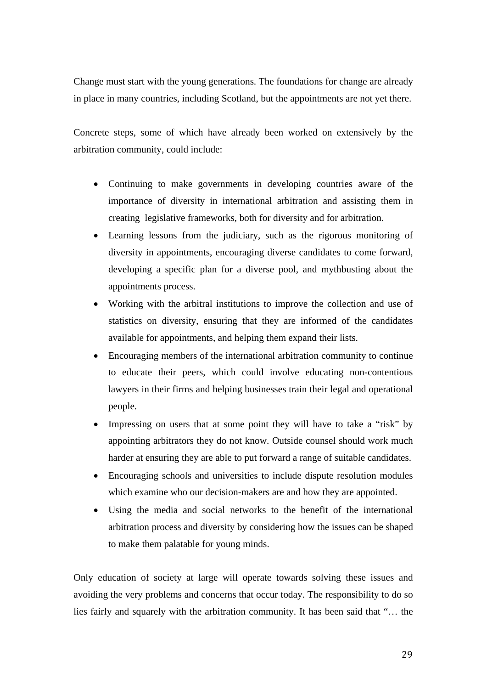Change must start with the young generations. The foundations for change are already in place in many countries, including Scotland, but the appointments are not yet there.

Concrete steps, some of which have already been worked on extensively by the arbitration community, could include:

- Continuing to make governments in developing countries aware of the importance of diversity in international arbitration and assisting them in creating legislative frameworks, both for diversity and for arbitration.
- Learning lessons from the judiciary, such as the rigorous monitoring of diversity in appointments, encouraging diverse candidates to come forward, developing a specific plan for a diverse pool, and mythbusting about the appointments process.
- Working with the arbitral institutions to improve the collection and use of statistics on diversity, ensuring that they are informed of the candidates available for appointments, and helping them expand their lists.
- Encouraging members of the international arbitration community to continue to educate their peers, which could involve educating non-contentious lawyers in their firms and helping businesses train their legal and operational people.
- Impressing on users that at some point they will have to take a "risk" by appointing arbitrators they do not know. Outside counsel should work much harder at ensuring they are able to put forward a range of suitable candidates.
- Encouraging schools and universities to include dispute resolution modules which examine who our decision-makers are and how they are appointed.
- Using the media and social networks to the benefit of the international arbitration process and diversity by considering how the issues can be shaped to make them palatable for young minds.

Only education of society at large will operate towards solving these issues and avoiding the very problems and concerns that occur today. The responsibility to do so lies fairly and squarely with the arbitration community. It has been said that "… the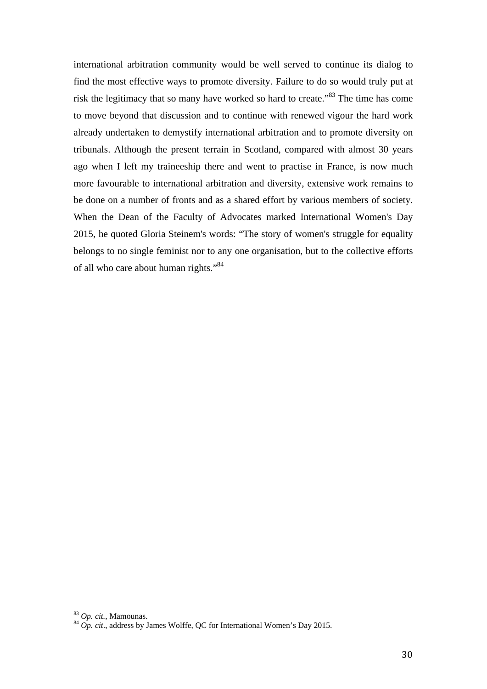international arbitration community would be well served to continue its dialog to find the most effective ways to promote diversity. Failure to do so would truly put at risk the legitimacy that so many have worked so hard to create."83 The time has come to move beyond that discussion and to continue with renewed vigour the hard work already undertaken to demystify international arbitration and to promote diversity on tribunals. Although the present terrain in Scotland, compared with almost 30 years ago when I left my traineeship there and went to practise in France, is now much more favourable to international arbitration and diversity, extensive work remains to be done on a number of fronts and as a shared effort by various members of society. When the Dean of the Faculty of Advocates marked International Women's Day 2015, he quoted Gloria Steinem's words: "The story of women's struggle for equality belongs to no single feminist nor to any one organisation, but to the collective efforts of all who care about human rights."84

<sup>83</sup> *Op. cit.,* Mamounas. <sup>84</sup> *Op. cit*., address by James Wolffe, QC for International Women's Day 2015.